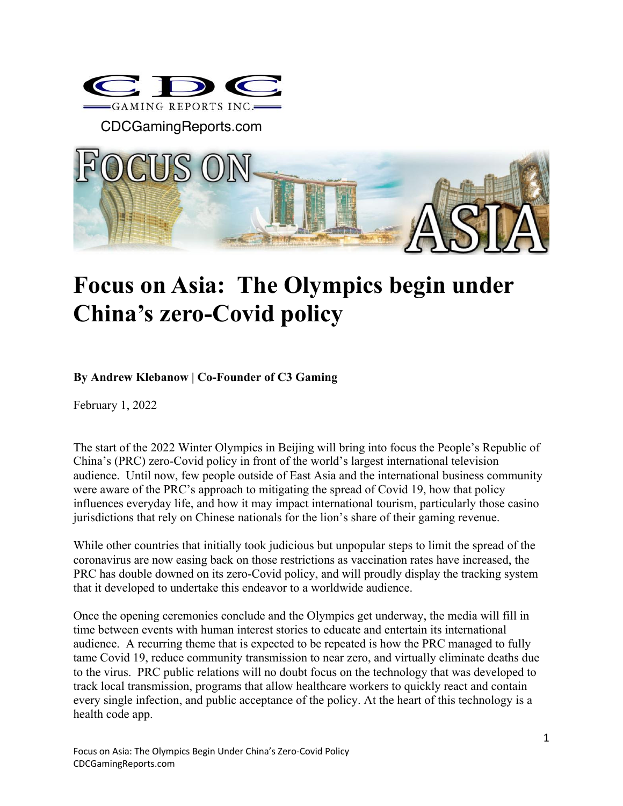

CDCGamingReports.com



## **Focus on Asia: The Olympics begin under China's zero-Covid policy**

## **By Andrew Klebanow | Co-Founder of C3 Gaming**

February 1, 2022

The start of the 2022 Winter Olympics in Beijing will bring into focus the People's Republic of China's (PRC) zero-Covid policy in front of the world's largest international television audience. Until now, few people outside of East Asia and the international business community were aware of the PRC's approach to mitigating the spread of Covid 19, how that policy influences everyday life, and how it may impact international tourism, particularly those casino jurisdictions that rely on Chinese nationals for the lion's share of their gaming revenue.

While other countries that initially took judicious but unpopular steps to limit the spread of the coronavirus are now easing back on those restrictions as vaccination rates have increased, the PRC has double downed on its zero-Covid policy, and will proudly display the tracking system that it developed to undertake this endeavor to a worldwide audience.

Once the opening ceremonies conclude and the Olympics get underway, the media will fill in time between events with human interest stories to educate and entertain its international audience. A recurring theme that is expected to be repeated is how the PRC managed to fully tame Covid 19, reduce community transmission to near zero, and virtually eliminate deaths due to the virus. PRC public relations will no doubt focus on the technology that was developed to track local transmission, programs that allow healthcare workers to quickly react and contain every single infection, and public acceptance of the policy. At the heart of this technology is a health code app.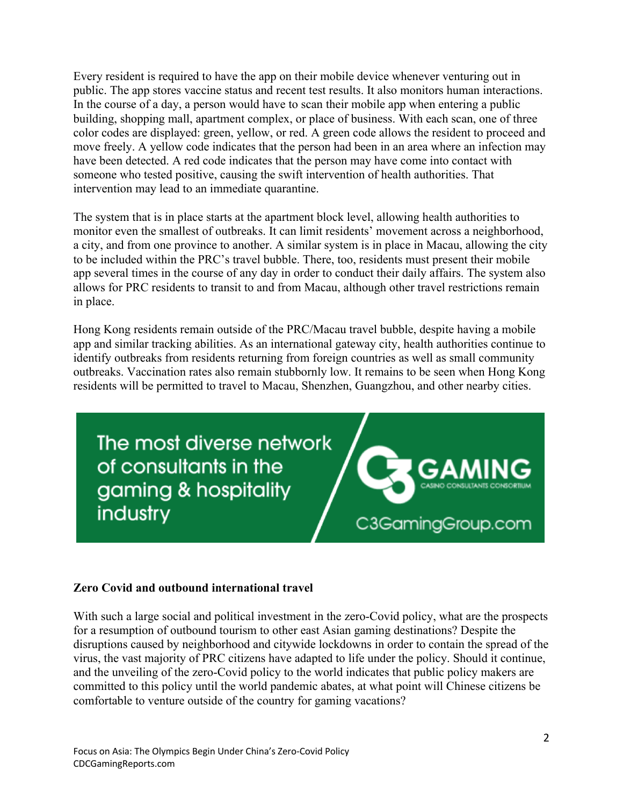Every resident is required to have the app on their mobile device whenever venturing out in public. The app stores vaccine status and recent test results. It also monitors human interactions. In the course of a day, a person would have to scan their mobile app when entering a public building, shopping mall, apartment complex, or place of business. With each scan, one of three color codes are displayed: green, yellow, or red. A green code allows the resident to proceed and move freely. A yellow code indicates that the person had been in an area where an infection may have been detected. A red code indicates that the person may have come into contact with someone who tested positive, causing the swift intervention of health authorities. That intervention may lead to an immediate quarantine.

The system that is in place starts at the apartment block level, allowing health authorities to monitor even the smallest of outbreaks. It can limit residents' movement across a neighborhood, a city, and from one province to another. A similar system is in place in Macau, allowing the city to be included within the PRC's travel bubble. There, too, residents must present their mobile app several times in the course of any day in order to conduct their daily affairs. The system also allows for PRC residents to transit to and from Macau, although other travel restrictions remain in place.

Hong Kong residents remain outside of the PRC/Macau travel bubble, despite having a mobile app and similar tracking abilities. As an international gateway city, health authorities continue to identify outbreaks from residents returning from foreign countries as well as small community outbreaks. Vaccination rates also remain stubbornly low. It remains to be seen when Hong Kong residents will be permitted to travel to Macau, Shenzhen, Guangzhou, and other nearby cities.

The most diverse network of consultants in the gaming & hospitality industry



## **Zero Covid and outbound international travel**

With such a large social and political investment in the zero-Covid policy, what are the prospects for a resumption of outbound tourism to other east Asian gaming destinations? Despite the disruptions caused by neighborhood and citywide lockdowns in order to contain the spread of the virus, the vast majority of PRC citizens have adapted to life under the policy. Should it continue, and the unveiling of the zero-Covid policy to the world indicates that public policy makers are committed to this policy until the world pandemic abates, at what point will Chinese citizens be comfortable to venture outside of the country for gaming vacations?